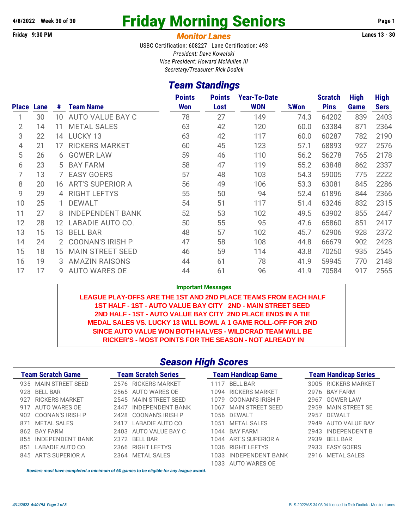# 4/8/2022 Week 30 of 30 **Friday Morning Seniors** Page 1

#### **Friday 9:30 PM** *Monitor Lanes* **Lanes 13 - 30**

USBC Certification: 608227 Lane Certification: 493 *President: Dave Kowalski Vice President: Howard McMullen III Secretary/Treasurer: Rick Dodick*

#### *Team Standings*

| <b>Place</b> | Lane | #  | <b>Team Name</b>        | <b>Points</b><br><b>Won</b> | <b>Points</b><br>Lost | <b>Year-To-Date</b><br><b>WON</b> | %Won | <b>Scratch</b><br><b>Pins</b> | <b>High</b><br>Game | <b>High</b><br><b>Sers</b> |
|--------------|------|----|-------------------------|-----------------------------|-----------------------|-----------------------------------|------|-------------------------------|---------------------|----------------------------|
|              | 30   | 10 | <b>AUTO VALUE BAY C</b> | 78                          | 27                    | 149                               | 74.3 | 64202                         | 839                 | 2403                       |
| 2            | 14   | 11 | <b>METAL SALES</b>      | 63                          | 42                    | 120                               | 60.0 | 63384                         | 871                 | 2364                       |
| 3            | 22   | 14 | LUCKY 13                | 63                          | 42                    | 117                               | 60.0 | 60287                         | 782                 | 2190                       |
| 4            | 21   | 17 | <b>RICKERS MARKET</b>   | 60                          | 45                    | 123                               | 57.1 | 68893                         | 927                 | 2576                       |
| 5            | 26   | 6  | <b>GOWER LAW</b>        | 59                          | 46                    | 110                               | 56.2 | 56278                         | 765                 | 2178                       |
| 6            | 23   | 5  | <b>BAY FARM</b>         | 58                          | 47                    | 119                               | 55.2 | 63848                         | 862                 | 2337                       |
| 7            | 13   |    | <b>EASY GOERS</b>       | 57                          | 48                    | 103                               | 54.3 | 59005                         | 775                 | 2222                       |
| 8            | 20   | 16 | <b>ART'S SUPERIOR A</b> | 56                          | 49                    | 106                               | 53.3 | 63081                         | 845                 | 2286                       |
| 9            | 29   | 4  | <b>RIGHT LEFTYS</b>     | 55                          | 50                    | 94                                | 52.4 | 61896                         | 844                 | 2366                       |
| 10           | 25   |    | <b>DEWALT</b>           | 54                          | 51                    | 117                               | 51.4 | 63246                         | 832                 | 2315                       |
| 11           | 27   | 8  | <b>INDEPENDENT BANK</b> | 52                          | 53                    | 102                               | 49.5 | 63902                         | 855                 | 2447                       |
| 12           | 28   | 12 | LABADIE AUTO CO.        | 50                          | 55                    | 95                                | 47.6 | 65860                         | 851                 | 2417                       |
| 13           | 15   | 13 | <b>BELL BAR</b>         | 48                          | 57                    | 102                               | 45.7 | 62906                         | 928                 | 2372                       |
| 14           | 24   | 2  | <b>COONAN'S IRISH P</b> | 47                          | 58                    | 108                               | 44.8 | 66679                         | 902                 | 2428                       |
| 15           | 18   | 15 | <b>MAIN STREET SEED</b> | 46                          | 59                    | 114                               | 43.8 | 70250                         | 935                 | 2545                       |
| 16           | 19   | 3  | <b>AMAZIN RAISONS</b>   | 44                          | 61                    | 78                                | 41.9 | 59945                         | 770                 | 2148                       |
| 17           | 17   | g  | <b>AUTO WARES OE</b>    | 44                          | 61                    | 96                                | 41.9 | 70584                         | 917                 | 2565                       |

**Important Messages**

**LEAGUE PLAY-OFFS ARE THE 1ST AND 2ND PLACE TEAMS FROM EACH HALF 1ST HALF - 1ST - AUTO VALUE BAY CITY 2ND - MAIN STREET SEED 2ND HALF - 1ST - AUTO VALUE BAY CITY 2ND PLACE ENDS IN A TIE MEDAL SALES VS. LUCKY 13 WILL BOWL A 1 GAME ROLL-OFF FOR 2ND SINCE AUTO VALUE WON BOTH HALVES - WILDCRAD TEAM WILL BE RICKER'S - MOST POINTS FOR THE SEASON - NOT ALREADY IN**

#### *Season High Scores*

| <b>Team Scratch Game</b>     | <b>Team Scratch Series</b>      | <b>Team Handicap Game</b>       | <b>Team Handicap Series</b> |
|------------------------------|---------------------------------|---------------------------------|-----------------------------|
| 935 MAIN STREET SEED         | <b>RICKERS MARKET</b><br>2576   | <b>BFII BAR</b><br>1117         | 3005 RICKERS MARKET         |
| BFII BAR<br>928              | 2565 AUTO WARES OF              | 1094 RICKERS MARKET             | <b>BAY FARM</b><br>2976     |
| <b>RICKERS MARKET</b><br>927 | 2545 MAIN STREET SEED           | 1079 COONAN'S IRISH P           | GOWFRIAW<br>2967            |
| AUTO WARES OE<br>917         | <b>INDEPENDENT BANK</b><br>2447 | 1067 MAIN STREET SEED           | MAIN STREET SE<br>2959      |
| 902 COONAN'S IRISH P         | 2428 COONAN'S IRISH P           | 1056 DEWALT                     | DEWALT<br>2957              |
| METAL SALES<br>871           | I ABADIF AUTO CO.<br>2417       | MFTAL SALES<br>1051             | AUTO VALUE BAY<br>2949      |
| <b>BAY FARM</b><br>862       | 2403 AUTO VALUE BAY C           | 1044 BAY FARM                   | INDEPENDENT B<br>2943       |
| INDEPENDENT BANK<br>855      | <b>BELL BAR</b><br>2372         | 1044 ART'S SUPERIOR A           | <b>BELL BAR</b><br>2939     |
| LABADIE AUTO CO.<br>851      | <b>RIGHT LEFTYS</b><br>2366     | <b>RIGHT LEFTYS</b><br>1036     | <b>EASY GOERS</b><br>2933   |
| 845 ART'S SUPERIOR A         | 2364 METAL SALES                | <b>INDEPENDENT BANK</b><br>1033 | <b>METAL SALES</b><br>2916  |
|                              |                                 | 1033 AUTO WARES OE              |                             |

*Bowlers must have completed a minimum of 60 games to be eligible for any league award.*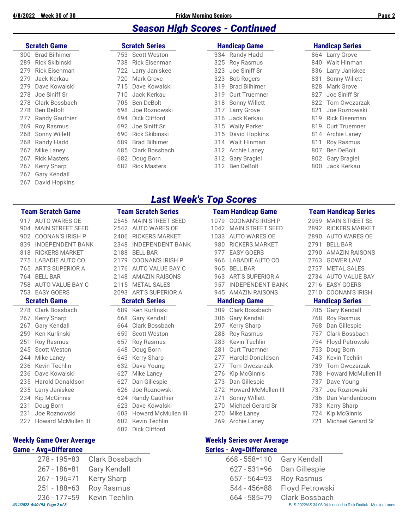#### *Season High Scores - Continued*

|     | <b>Scratch Game</b> |     | <b>Scratch Series</b> |     | <b>Handicap Game</b> |     | <b>Handicap Series</b> |
|-----|---------------------|-----|-----------------------|-----|----------------------|-----|------------------------|
|     | 300 Brad Bilhimer   |     | 753 Scott Weston      |     | 334 Randy Hadd       |     | 864 Larry Grove        |
| 289 | Rick Skibinski      | 738 | Rick Eisenman         |     | 325 Roy Rasmus       |     | 840 Walt Hinman        |
| 279 | Rick Eisenman       |     | 722 Larry Janiskee    |     | 323 Joe Siniff Sr    | 836 | Larry Janiskee         |
| 279 | Jack Kerkau         | 720 | Mark Grove            | 323 | <b>Bob Rogers</b>    | 831 | Sonny Willett          |
|     | 279 Dave Kowalski   |     | 715 Dave Kowalski     |     | 319 Brad Bilhimer    | 828 | Mark Grove             |
|     | 278 Joe Siniff Sr   | 710 | Jack Kerkau           |     | 319 Curt Truemner    | 827 | Joe Siniff Sr          |
|     | 278 Clark Bossbach  |     | 705 Ben DeBolt        |     | 318 Sonny Willett    |     | 822 Tom Owczarzak      |
|     | 278 Ben DeBolt      | 698 | Joe Roznowski         |     | 317 Larry Grove      | 821 | Joe Roznowski          |
|     | 277 Randy Gauthier  |     | 694 Dick Clifford     |     | 316 Jack Kerkau      |     | 819 Rick Eisenman      |
|     | 269 Roy Rasmus      | 692 | Joe Siniff Sr         |     | 315 Wally Parker     |     | 819 Curt Truemner      |
|     | 268 Sonny Willett   | 690 | Rick Skibinski        |     | 315 David Hopkins    |     | 814 Archie Laney       |
|     | 268 Randy Hadd      | 689 | Brad Bilhimer         |     | 314 Walt Hinman      |     | 811 Roy Rasmus         |
| 267 | Mike Laney          |     | 685 Clark Bossbach    |     | 312 Archie Laney     | 807 | Ben DeBolt             |
| 267 | <b>Rick Masters</b> | 682 | Doug Born             |     | 312 Gary Bragiel     |     | 802 Gary Bragiel       |
| 267 | Kerry Sharp         |     | 682 Rick Masters      |     | 312 Ben DeBolt       | 800 | Jack Kerkau            |
|     | 267 Gary Kendall    |     |                       |     |                      |     |                        |

David Hopkins

#### *Last Week's Top Scores*

|     | <b>Team Scratch Game</b>   |      | <b>Team Scratch Series</b> |      | <b>Team Handicap Game</b> |      | Team Handicap Series       |
|-----|----------------------------|------|----------------------------|------|---------------------------|------|----------------------------|
|     | 917 AUTO WARES OF          | 2545 | <b>MAIN STREET SEED</b>    | 1079 | <b>COONAN'S IRISH P</b>   |      | 2959 MAIN STREET SE        |
| 904 | <b>MAIN STREET SEED</b>    | 2542 | <b>AUTO WARES OE</b>       | 1042 | <b>MAIN STREET SEED</b>   | 2892 | <b>RICKERS MARKET</b>      |
| 902 | <b>COONAN'S IRISH P</b>    | 2406 | <b>RICKERS MARKET</b>      | 1033 | <b>AUTO WARES OE</b>      | 2890 | <b>AUTO WARES OE</b>       |
| 839 | <b>INDEPENDENT BANK</b>    | 2348 | <b>INDEPENDENT BANK</b>    | 980  | <b>RICKERS MARKET</b>     | 2791 | <b>BELL BAR</b>            |
| 818 | <b>RICKERS MARKET</b>      | 2188 | <b>BELL BAR</b>            | 977  | <b>EASY GOERS</b>         | 2790 | <b>AMAZIN RAISONS</b>      |
| 775 | LABADIE AUTO CO.           | 2179 | <b>COONAN'S IRISH P</b>    | 966  | LABADIE AUTO CO.          | 2763 | <b>GOWER LAW</b>           |
| 765 | <b>ART'S SUPERIOR A</b>    | 2176 | AUTO VALUE BAY C           | 965  | <b>BELL BAR</b>           | 2757 | <b>METAL SALES</b>         |
| 764 | <b>BELL BAR</b>            | 2148 | <b>AMAZIN RAISONS</b>      | 963  | <b>ART'S SUPERIOR A</b>   | 2734 | <b>AUTO VALUE BAY</b>      |
| 758 | AUTO VALUE BAY C           | 2115 | <b>METAL SALES</b>         | 957  | <b>INDEPENDENT BANK</b>   | 2716 | <b>EASY GOERS</b>          |
| 753 | <b>EASY GOERS</b>          | 2093 | <b>ART'S SUPERIOR A</b>    | 945  | <b>AMAZIN RAISONS</b>     | 2710 | <b>COONAN'S IRISH</b>      |
|     | <b>Scratch Game</b>        |      | <b>Scratch Series</b>      |      | <b>Handicap Game</b>      |      | <b>Handicap Series</b>     |
| 278 | Clark Bossbach             | 689  | Ken Kurlinski              | 309  | Clark Bossbach            | 785  | <b>Gary Kendall</b>        |
| 267 | <b>Kerry Sharp</b>         | 668  | <b>Gary Kendall</b>        | 306  | <b>Gary Kendall</b>       | 768  | Roy Rasmus                 |
| 267 | <b>Gary Kendall</b>        | 664  | Clark Bossbach             | 297  | Kerry Sharp               | 768  | Dan Gillespie              |
| 259 | Ken Kurlinski              | 659  | <b>Scott Weston</b>        | 288  | <b>Roy Rasmus</b>         | 757  | Clark Bossbach             |
| 251 | <b>Roy Rasmus</b>          | 657  | <b>Roy Rasmus</b>          | 283  | Kevin Techlin             | 754  | Floyd Petrowski            |
| 245 | Scott Weston               | 648  | Doug Born                  | 281  | <b>Curt Truemner</b>      | 753  | Doug Born                  |
| 244 | Mike Laney                 | 643  | Kerry Sharp                | 277  | Harold Donaldson          | 743  | Kevin Techlin              |
| 236 | <b>Kevin Techlin</b>       | 632  | Dave Young                 | 277  | Tom Owczarzak             | 739  | Tom Owczarzak              |
| 236 | Dave Kowalski              | 627  | Mike Laney                 | 276  | <b>Kip McGinnis</b>       | 738  | <b>Howard McMullen III</b> |
| 235 | Harold Donaldson           | 627  | Dan Gillespie              | 273  | Dan Gillespie             | 737  | Dave Young                 |
| 235 | Larry Janiskee             | 626  | Joe Roznowski              | 272  | Howard McMullen III       | 737  | Joe Roznowski              |
| 234 | <b>Kip McGinnis</b>        | 624  | <b>Randy Gauthier</b>      | 271  | Sonny Willett             | 736  | Dan Vandenboom             |
| 231 | Doug Born                  | 623  | Dave Kowalski              | 270  | Michael Gerard Sr         | 733  | Kerry Sharp                |
| 231 | Joe Roznowski              | 603  | Howard McMullen III        | 270  | Mike Laney                | 724  | <b>Kip McGinnis</b>        |
| 227 | <b>Howard McMullen III</b> | 602  | Kevin Techlin              | 269  | Archie Laney              | 721  | Michael Gerard Sr          |
|     |                            | 602  | Dick Clifford              |      |                           |      |                            |

*4/11/2022 4:40 PM Page 2 of 8* BLS-2022/AS 34.03.04 licensed to Rick Dodick - Monitor Lanes

#### **Weekly Game Over Average Weekly Series over Average**

#### **Game - Avg=Difference Series - Avg=Difference**

|                               | 278 - 195 = 83 Clark Bossbach | 668 - 558=110 Gary Kendall |                              |
|-------------------------------|-------------------------------|----------------------------|------------------------------|
| 267 - 186=81 Gary Kendall     |                               |                            | 627 - 531=96 Dan Gillespie   |
| 267 - 196=71 Kerry Sharp      |                               | 657 - 564=93 Roy Rasmus    |                              |
| 251 - 188=63 Roy Rasmus       |                               |                            | 544 - 456=88 Floyd Petrowski |
|                               | 236 - 177 = 59 Kevin Techlin  |                            | 664 - 585=79 Clark Bossbach  |
| 4/11/2022 4:40 PM Page 2 of 8 |                               |                            | BLS-2022/AS 34.03.04 lice    |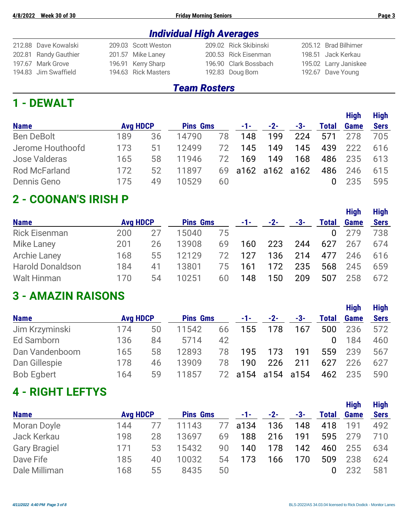#### *Individual High Averages*

| 212.88 Dave Kowalski  | 209.03 Scott Weston | 209.02 Rick Skibinski | 205.12 Brad Bilhimer  |
|-----------------------|---------------------|-----------------------|-----------------------|
| 202.81 Randy Gauthier | 201.57 Mike Laney   | 200.53 Rick Eisenman  | 198.51 Jack Kerkau    |
| 197.67 Mark Grove     | 196.91 Kerry Sharp  | 196.90 Clark Bossbach | 195.02 Larry Janiskee |
| 194.83 Jim Swaffield  | 194.63 Rick Masters | 192.83 Doug Born      | 192.67 Dave Young     |

#### *Team Rosters*

#### **1 - DEWALT**

|                   |                 |    |                 |    |                   |       |     |              | <b>High</b> | <b>High</b> |
|-------------------|-----------------|----|-----------------|----|-------------------|-------|-----|--------------|-------------|-------------|
| <b>Name</b>       | <b>Avg HDCP</b> |    | <b>Pins Gms</b> |    | $-1$ – $-$        | $-2-$ | -3- | <b>Total</b> | <b>Game</b> | <b>Sers</b> |
| <b>Ben DeBolt</b> | 189             | 36 | 14790           | 78 | 148               | 199   | 224 | 571          | 278         | 705         |
| Jerome Houthoofd  | 173             | 51 | 12499           | 72 | 145               | 149   | 145 | 439          | 222         | 616         |
| Jose Valderas     | 165             | 58 | 11946           | 72 | 169               | 149   | 168 | 486          | 235         | 613         |
| Rod McFarland     | 172             | 52 | 11897           |    | 69 a162 a162 a162 |       |     | 486          | 246         | 615         |
| Dennis Geno       | 175             | 49 | 10529           | 60 |                   |       |     |              | 235         | 595         |

### **2 - COONAN'S IRISH P**

|                         |                 |    |                 |    |     |       |       |              | <b>High</b> | <b>High</b> |
|-------------------------|-----------------|----|-----------------|----|-----|-------|-------|--------------|-------------|-------------|
| <b>Name</b>             | <b>Avg HDCP</b> |    | <b>Pins Gms</b> |    | -1- | $-2-$ | $-3-$ | Total        | <b>Game</b> | <b>Sers</b> |
| <b>Rick Eisenman</b>    | 200             | 27 | 15040           | 75 |     |       |       | $\mathbf{0}$ | 279         | 738         |
| <b>Mike Laney</b>       | 201             | 26 | 13908           | 69 | 160 | 223   | 244   | 627          | 267         | 674         |
| <b>Archie Laney</b>     | 168             | 55 | 12129           | 72 | 127 | 136   | 214   | 477          | 246         | 616         |
| <b>Harold Donaldson</b> | 184             | 41 | 13801           | 75 | 161 | 172   | 235   | 568          | 245         | 659         |
| <b>Walt Hinman</b>      | 170             | 54 | 10251           | 60 | 148 | 150   | 209   | 507          | 258         | 672         |

## **3 - AMAZIN RAISONS**

| <b>Name</b>       | <b>Avg HDCP</b> |    | <b>Pins Gms</b> |    | $-1-$ | $-2-$          | $-3-$ | Total | <b>Game</b> | <b>Sers</b> |
|-------------------|-----------------|----|-----------------|----|-------|----------------|-------|-------|-------------|-------------|
| Jim Krzyminski    | 174             | 50 | 11542           | 66 | 155   | 178            | 167   | 500   | 236         | 572         |
| Ed Samborn        | 136             | 84 | 5714            | 42 |       |                |       |       | 184         | 460         |
| Dan Vandenboom    | 165             | 58 | 12893           | 78 | 195   | 173            | 191   | 559   | 239         | 567         |
| Dan Gillespie     | 178             | 46 | 13909           | 78 | 190   | 226            | 211   | 627   | 226         | 627         |
| <b>Bob Egbert</b> | 164             | 59 | 11857           | 72 |       | a154 a154 a154 |       | 462   | 235         | 590         |
|                   |                 |    |                 |    |       |                |       |       |             |             |

#### **4 - RIGHT LEFTYS**

|                     |                 |                 |       |               |       |     |              |      | <b>High</b> | <b>High</b> |
|---------------------|-----------------|-----------------|-------|---------------|-------|-----|--------------|------|-------------|-------------|
| <b>Name</b>         | <b>Avg HDCP</b> | <b>Pins Gms</b> |       | $-1-$         | $-2-$ | -3- | <b>Total</b> | Game | <b>Sers</b> |             |
| Moran Doyle         | 144             |                 | 11143 | $\frac{1}{2}$ | a134  | 136 | 148          | 418  | 191         | 492         |
| Jack Kerkau         | 198             | 28              | 13697 | 69            | 188   | 216 | 191          | 595  | 279         | 710         |
| <b>Gary Bragiel</b> | 171             | 53              | 15432 | 90            | 140   | 178 | 142          | 460  | 255         | 634         |
| Dave Fife           | 185             | 40              | 10032 | 54            | 173   | 166 | 170          | 509  | 238         | 624         |
| Dale Milliman       | 168             | 55              | 8435  | 50            |       |     |              |      | 232         | 581         |

**High High**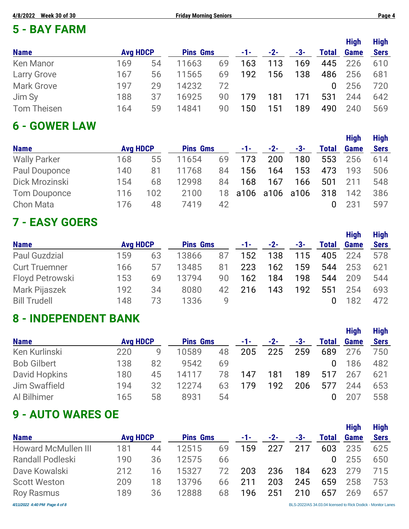## **5 - BAY FARM**

|                    |                 |    |                 |    |     |       |     |              | <b>High</b> | <b>High</b> |
|--------------------|-----------------|----|-----------------|----|-----|-------|-----|--------------|-------------|-------------|
| <b>Name</b>        | <b>Avg HDCP</b> |    | <b>Pins Gms</b> |    | -1- | $-2-$ | -3- | <b>Total</b> | Game        | <b>Sers</b> |
| <b>Ken Manor</b>   | 169             | 54 | 11663           | 69 | 163 | 113   | 169 | 445          | 226         | 610         |
| <b>Larry Grove</b> | 167             | 56 | 11565           | 69 | 192 | 156   | 138 | 486          | 256         | 681         |
| <b>Mark Grove</b>  | 197             | 29 | 14232           | 72 |     |       |     | $\Omega$     | 256         | 720         |
| Jim Sy             | 188             | 37 | 16925           | 90 | 179 | 181   | 171 | 531          | 244         | 642         |
| <b>Tom Theisen</b> | 164             | 59 | 14841           | 90 | 150 | 151   | 189 | 490          | 240         | 569         |

#### **6 - GOWER LAW**

| <b>Name</b>         | <b>Avg HDCP</b> |     | <b>Pins Gms</b> |    | $-1 - 1$          | $-2-$ | -3- | <b>Total</b> | <b>Game</b> | <b>Sers</b> |
|---------------------|-----------------|-----|-----------------|----|-------------------|-------|-----|--------------|-------------|-------------|
| <b>Wally Parker</b> | 168             | 55  | 11654           | 69 | 173               | 200   | 180 | 553          | 256         | 614         |
| Paul Douponce       | 140             | 81  | 11768           | 84 | 156               | 164   | 153 | 473          | 193         | 506         |
| Dick Mrozinski      | 154             | 68  | 12998           | 84 | 168               | 167   | 166 | 501          | 211         | 548         |
| Tom Douponce        | 116             | 102 | 2100            |    | 18 a106 a106 a106 |       |     | 318          | 142         | 386         |
| <b>Chon Mata</b>    | 176             | 48  | 7419            | 42 |                   |       |     |              | 231         | 597         |

## **7 - EASY GOERS**

|                      |                 |    |                 |    |       |       |     |              |      | тичн        |
|----------------------|-----------------|----|-----------------|----|-------|-------|-----|--------------|------|-------------|
| <b>Name</b>          | <b>Avg HDCP</b> |    | <b>Pins Gms</b> |    | $-1-$ | $-2-$ | -3- | <b>Total</b> | Game | <b>Sers</b> |
| <b>Paul Guzdzial</b> | 159             | 63 | 13866           | 87 | 152   | 138   | 115 | 405          | 224  | 578         |
| <b>Curt Truemner</b> | 166             | 5/ | 13485           | 81 | 223   | 162   | 159 | 544          | 253  | 621         |
| Floyd Petrowski      | 153             | 69 | 13794           | 90 | 162   | 184   | 198 | 544          | 209  | 544         |
| Mark Pijaszek        | 192             | 34 | 8080            | 42 | 216   | 143   | 192 | 551          | 254  | 693         |
| <b>Bill Trudell</b>  | 148             | 73 | 1336            | 9  |       |       |     |              | 182  | 472         |
|                      |                 |    |                 |    |       |       |     |              |      |             |

## **8 - INDEPENDENT BANK**

|                    |                 |    |                 |    |     |       |     |              | <b>High</b> | <b>High</b> |
|--------------------|-----------------|----|-----------------|----|-----|-------|-----|--------------|-------------|-------------|
| <b>Name</b>        | <b>Avg HDCP</b> |    | <b>Pins Gms</b> |    | -1- | $-2-$ | -3- | <b>Total</b> | <b>Game</b> | <b>Sers</b> |
| Ken Kurlinski      | 220             | g  | 10589           | 48 | 205 | 225   | 259 | 689          | 276         | 750         |
| <b>Bob Gilbert</b> | 138             | 82 | 9542            | 69 |     |       |     | $\Omega$     | 186         | 482         |
| David Hopkins      | 180             | 45 | 14117           | 78 | 147 | 181   | 189 | 517          | 267         | 621         |
| Jim Swaffield      | 194             | 32 | 12274           | 63 | 179 | 192   | 206 | 577          | 244         | 653         |
| Al Bilhimer        | 165             | 58 | 8931            | 54 |     |       |     | 0            | 207         | 558         |

## **9 - AUTO WARES OE**

|                               |                 |    |                 |    |     |       |     |       | <b>High</b> | <b>High</b>                                                  |
|-------------------------------|-----------------|----|-----------------|----|-----|-------|-----|-------|-------------|--------------------------------------------------------------|
| <b>Name</b>                   | <b>Avg HDCP</b> |    | <b>Pins Gms</b> |    | -1- | $-2-$ | -3- | Total | <b>Game</b> | <b>Sers</b>                                                  |
| <b>Howard McMullen III</b>    | 181             | 44 | 12515           | 69 | 159 | 227   | 217 | 603   | 235         | 625                                                          |
| <b>Randall Podleski</b>       | 190             | 36 | 12575           | 66 |     |       |     | 0     | 255         | 650                                                          |
| Dave Kowalski                 | 212             | 16 | 15327           | 72 | 203 | 236   | 184 | 623   | 279         | 715                                                          |
| <b>Scott Weston</b>           | 209             | 18 | 13796           | 66 | 211 | 203   | 245 | 659   | 258         | 753                                                          |
| <b>Roy Rasmus</b>             | 189             | 36 | 12888           | 68 | 196 | 251   | 210 | 657   | 269         | 657                                                          |
| 4/11/2022 4:40 PM Page 4 of 8 |                 |    |                 |    |     |       |     |       |             | BLS-2022/AS 34.03.04 licensed to Rick Dodick - Monitor Lanes |

**High High**

**High High**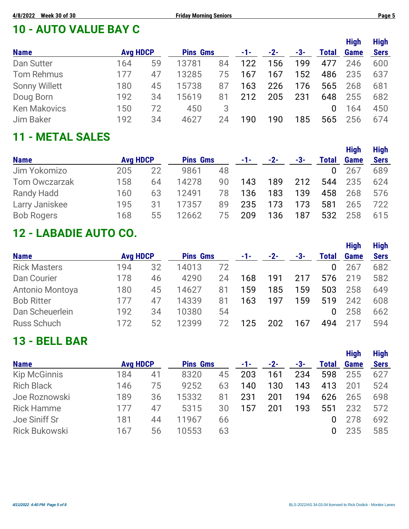## **10 - AUTO VALUE BAY C**

|     |    |                 |    |                 |       |     |              | <b>High</b> | <b>High</b> |
|-----|----|-----------------|----|-----------------|-------|-----|--------------|-------------|-------------|
|     |    |                 |    | -1-             | $-2-$ | -3- | <b>Total</b> | <b>Game</b> | <b>Sers</b> |
| 164 | 59 | 13781           | 84 | 122             | 156   | 199 | 477          | 246         | 600         |
| 177 | 47 | 13285           | 75 | 167             | 167   | 152 | 486          | 235         | 637         |
| 180 | 45 | 15738           | 87 | 163             | 226   | 176 | 565          | 268         | 681         |
| 192 | 34 | 15619           | 81 | 212             | 205   | 231 | 648          | 255         | 682         |
| 150 | 72 | 450             | 3  |                 |       |     | 0            | 164         | 450         |
| 192 | 34 | 4627            | 24 | 190             | 190   | 185 | 565          | 256         | 674         |
|     |    | <b>Avg HDCP</b> |    | <b>Pins Gms</b> |       |     |              |             |             |

## **11 - METAL SALES**

| <b>Avg HDCP</b> |    | <b>Pins Gms</b> |    | -1- | $-2-$ | -3- | <b>Total</b> | <b>Game</b> | <b>Sers</b> |
|-----------------|----|-----------------|----|-----|-------|-----|--------------|-------------|-------------|
| 205             | 22 | 9861            | 48 |     |       |     |              | 267         | 689         |
| 158             | 64 | 14278           | 90 | 143 | 189   | 212 | 544          | 235         | 624         |
| 160             | 63 | 12491           | 78 | 136 | 183   | 139 | 458          | 268         | 576         |
| 195             | 31 | 17357           | 89 | 235 | 173   | 173 | 581          | 265         | 722         |
| 168             | 55 | 12662           | 75 | 209 | 136   | 187 | 532          | 258         | 615         |
|                 |    |                 |    |     |       |     |              |             |             |

## **12 - LABADIE AUTO CO.**

|                     |                 |    |                 |    |     |       |     |              | <b>High</b> | <b>High</b> |
|---------------------|-----------------|----|-----------------|----|-----|-------|-----|--------------|-------------|-------------|
| <b>Name</b>         | <b>Avg HDCP</b> |    | <b>Pins Gms</b> |    | -1- | $-2-$ | -3- | <b>Total</b> | Game        | <b>Sers</b> |
| <b>Rick Masters</b> | 194             | 32 | 14013           | 72 |     |       |     | 0            | 267         | 682         |
| Dan Courier         | 178             | 46 | 4290            | 24 | 168 | 191   | 217 | 576          | 219         | 582         |
| Antonio Montoya     | 180             | 45 | 14627           | 81 | 159 | 185   | 159 | 503          | 258         | 649         |
| <b>Bob Ritter</b>   | 177             | 47 | 14339           | 81 | 163 | 197   | 159 | 519          | 242         | 608         |
| Dan Scheuerlein     | 192             | 34 | 10380           | 54 |     |       |     | 0            | 258         | 662         |
| <b>Russ Schuch</b>  | 172             | 52 | 12399           | 72 | 125 | 202   | 167 | 494          |             | 594         |

### **13 - BELL BAR**

|                      |                 |    |                 |    |     |       |     |              | <b>High</b> | <b>High</b> |
|----------------------|-----------------|----|-----------------|----|-----|-------|-----|--------------|-------------|-------------|
| <b>Name</b>          | <b>Avg HDCP</b> |    | <b>Pins Gms</b> |    | -1- | $-2-$ | -3- | <b>Total</b> | <b>Game</b> | <b>Sers</b> |
| <b>Kip McGinnis</b>  | 184             | 41 | 8320            | 45 | 203 | 161   | 234 | 598          | 255         | 627         |
| <b>Rich Black</b>    | 146             | 75 | 9252            | 63 | 140 | 130   | 143 | 413          | 201         | 524         |
| Joe Roznowski        | 189             | 36 | 15332           | 81 | 231 | 201   | 194 | 626          | 265         | 698         |
| <b>Rick Hamme</b>    | 177             | 47 | 5315            | 30 | 157 | 201   | 193 | 551          | 232         | 572         |
| Joe Siniff Sr        | 181             | 44 | 11967           | 66 |     |       |     |              | 278         | 692         |
| <b>Rick Bukowski</b> | 167             | 56 | 10553           | 63 |     |       |     |              | 235         | 585         |

**High High**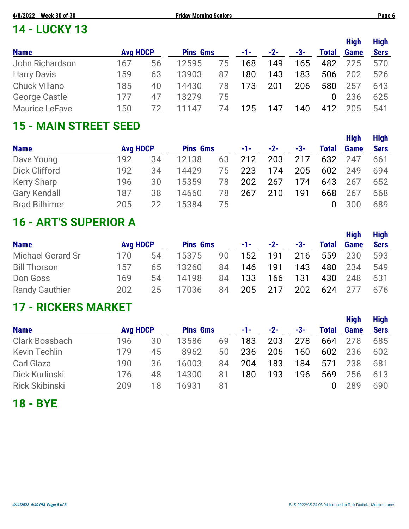# **14 - LUCKY 13**

|                       |                 |    |                 |    |     |       |     |              | <b>High</b> | <b>High</b> |
|-----------------------|-----------------|----|-----------------|----|-----|-------|-----|--------------|-------------|-------------|
| <b>Name</b>           | <b>Avg HDCP</b> |    | <b>Pins Gms</b> |    | -1- | $-2-$ | -3- | <b>Total</b> | <b>Game</b> | <b>Sers</b> |
| John Richardson       | 167             | 56 | 12595           | 75 | 168 | 149   | 165 | 482          | 225         | 570         |
| <b>Harry Davis</b>    | 159             | 63 | 13903           | 87 | 180 | 143   | 183 | 506          | 202         | 526         |
| <b>Chuck Villano</b>  | 185             | 40 | 14430           | 78 | 173 | 201   | 206 | 580          | 257         | 643         |
| George Castle         | 177             | 47 | 13279           | 75 |     |       |     | 0            | 236         | 625         |
| <b>Maurice LeFave</b> | 150             | 72 | 11147           | 74 | 125 | 147   | 140 | 412          | 205         | 541         |

#### **15 - MAIN STREET SEED**

|                      |                 |    |                 |    |     |       |     |              | <b>High</b> | <b>High</b> |
|----------------------|-----------------|----|-----------------|----|-----|-------|-----|--------------|-------------|-------------|
| <b>Name</b>          | <b>Avg HDCP</b> |    | <b>Pins Gms</b> |    | -1- | $-2-$ | -3- | <b>Total</b> | <b>Game</b> | <b>Sers</b> |
| Dave Young           | 192             | 34 | 12138           | 63 | 212 | 203   | 217 | 632          | 247         | 661         |
| Dick Clifford        | 192             | 34 | 14429           | 75 | 223 | 174   | 205 | 602          | 249         | 694         |
| <b>Kerry Sharp</b>   | 196             | 30 | 15359           | 78 | 202 | 267   | 174 | 643          | 267         | 652         |
| <b>Gary Kendall</b>  | 187             | 38 | 14660           | 78 | 267 | 210   | 191 | 668          | 267         | 668         |
| <b>Brad Bilhimer</b> | 205             | 22 | 15384           | 75 |     |       |     |              | 300         | 689         |

## **16 - ART'S SUPERIOR A**

|                          |                 |    |                 |    |       |       |     |              | <b>High</b> | <b>High</b> |
|--------------------------|-----------------|----|-----------------|----|-------|-------|-----|--------------|-------------|-------------|
| <b>Name</b>              | <b>Avg HDCP</b> |    | <b>Pins Gms</b> |    | -1- - | $-2-$ | -3- | <b>Total</b> | <b>Game</b> | <b>Sers</b> |
| <b>Michael Gerard Sr</b> | 170             | 54 | 15375           | 90 | 152   | 191   | 216 | 559          | 230         | 593         |
| <b>Bill Thorson</b>      | 157             | 65 | 13260           | 84 | 146   | 191   | 143 | 480          | 234         | 549         |
| Don Goss                 | 169             | 54 | 14198           | 84 | 133   | 166   | 131 | 430          | 248         | 631         |
| <b>Randy Gauthier</b>    | 202             | 25 | 17036           | 84 | 205   | 217   | 202 | 624          | - 277       | 676         |

## **17 - RICKERS MARKET**

|                       |                 |    |                 |    |     |       |       |              | <b>High</b> | <b>High</b> |
|-----------------------|-----------------|----|-----------------|----|-----|-------|-------|--------------|-------------|-------------|
| <b>Name</b>           | <b>Avg HDCP</b> |    | <b>Pins Gms</b> |    | -1- | $-2-$ | $-3-$ | <b>Total</b> | Game        | <b>Sers</b> |
| <b>Clark Bossbach</b> | 196             | 30 | 13586           | 69 | 183 | 203   | 278   | 664          | 278         | 685         |
| <b>Kevin Techlin</b>  | 179             | 45 | 8962            | 50 | 236 | 206   | 160   | 602          | 236         | 602         |
| Carl Glaza            | 190             | 36 | 16003           | 84 | 204 | 183   | 184   | 571          | 238         | 681         |
| Dick Kurlinski        | 176             | 48 | 14300           | 81 | 180 | 193   | 196   | 569          | 256         | 613         |
| <b>Rick Skibinski</b> | 209             | 18 | 16931           | 81 |     |       |       | 0            | 289         | 690         |

**18 - BYE**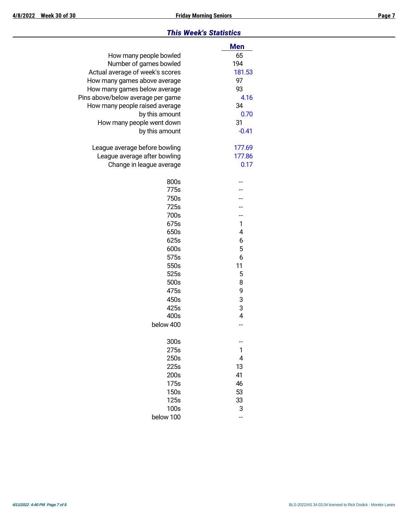#### *This Week's Statistics*

|                                   | <b>Men</b>     |
|-----------------------------------|----------------|
| How many people bowled            | 65             |
| Number of games bowled            | 194            |
| Actual average of week's scores   | 181.53         |
| How many games above average      | 97             |
| How many games below average      | 93             |
| Pins above/below average per game | 4.16           |
| How many people raised average    | 34             |
| by this amount                    | 0.70           |
| How many people went down         | 31             |
| by this amount                    | $-0.41$        |
| League average before bowling     | 177.69         |
| League average after bowling      | 177.86         |
| Change in league average          | 0.17           |
| 800s                              |                |
| 775s                              |                |
| 750s                              |                |
| 725s                              |                |
| 700s                              |                |
| 675s                              | 1              |
| 650s                              | 4              |
| 625s                              | 6              |
| 600s                              | 5              |
| 575s                              | 6              |
| 550s                              | 11             |
| 525s                              | 5              |
| 500s                              | 8              |
| 475s                              | 9              |
| 450s                              | 3              |
| 425s                              | 3              |
| 400s                              | $\overline{4}$ |
| below 400                         |                |
| 300s                              |                |
| 275s                              | 1              |
| 250s                              | 4              |
| 225s                              | 13             |
| 200s                              | 41             |
| 175s                              | 46             |
| 150s                              | 53             |
| 125s                              | 33             |
| 100s                              | 3              |
| below 100                         | --             |